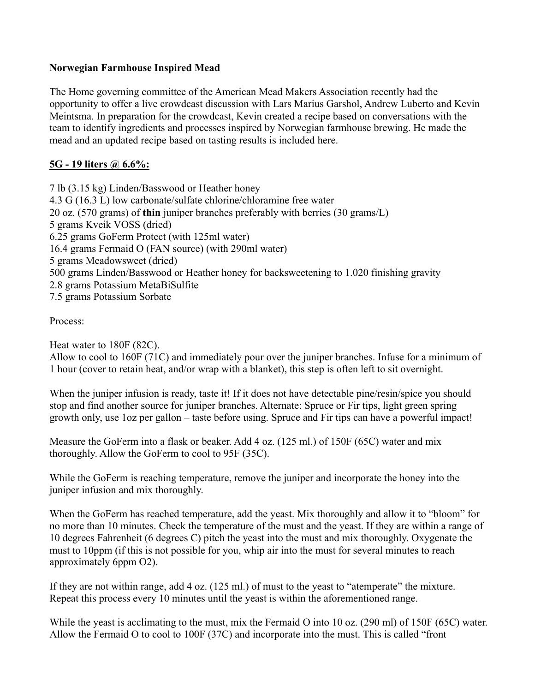### **Norwegian Farmhouse Inspired Mead**

The Home governing committee of the American Mead Makers Association recently had the opportunity to offer a live crowdcast discussion with Lars Marius Garshol, Andrew Luberto and Kevin Meintsma. In preparation for the crowdcast, Kevin created a recipe based on conversations with the team to identify ingredients and processes inspired by Norwegian farmhouse brewing. He made the mead and an updated recipe based on tasting results is included here.

## **5G - 19 liters @ 6.6%:**

7 lb (3.15 kg) Linden/Basswood or Heather honey 4.3 G (16.3 L) low carbonate/sulfate chlorine/chloramine free water 20 oz. (570 grams) of **thin** juniper branches preferably with berries (30 grams/L) 5 grams Kveik VOSS (dried) 6.25 grams GoFerm Protect (with 125ml water) 16.4 grams Fermaid O (FAN source) (with 290ml water) 5 grams Meadowsweet (dried) 500 grams Linden/Basswood or Heather honey for backsweetening to 1.020 finishing gravity 2.8 grams Potassium MetaBiSulfite 7.5 grams Potassium Sorbate

#### Process:

Heat water to 180F (82C). Allow to cool to 160F (71C) and immediately pour over the juniper branches. Infuse for a minimum of 1 hour (cover to retain heat, and/or wrap with a blanket), this step is often left to sit overnight.

When the juniper infusion is ready, taste it! If it does not have detectable pine/resin/spice you should stop and find another source for juniper branches. Alternate: Spruce or Fir tips, light green spring growth only, use 1oz per gallon – taste before using. Spruce and Fir tips can have a powerful impact!

Measure the GoFerm into a flask or beaker. Add 4 oz. (125 ml.) of 150F (65C) water and mix thoroughly. Allow the GoFerm to cool to 95F (35C).

While the GoFerm is reaching temperature, remove the juniper and incorporate the honey into the juniper infusion and mix thoroughly.

When the GoFerm has reached temperature, add the yeast. Mix thoroughly and allow it to "bloom" for no more than 10 minutes. Check the temperature of the must and the yeast. If they are within a range of 10 degrees Fahrenheit (6 degrees C) pitch the yeast into the must and mix thoroughly. Oxygenate the must to 10ppm (if this is not possible for you, whip air into the must for several minutes to reach approximately 6ppm O2).

If they are not within range, add 4 oz. (125 ml.) of must to the yeast to "atemperate" the mixture. Repeat this process every 10 minutes until the yeast is within the aforementioned range.

While the yeast is acclimating to the must, mix the Fermaid O into 10 oz. (290 ml) of 150F (65C) water. Allow the Fermaid O to cool to 100F (37C) and incorporate into the must. This is called "front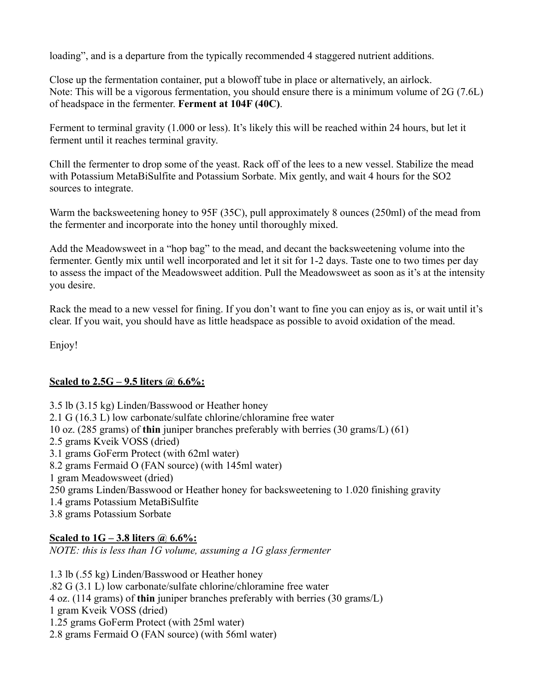loading", and is a departure from the typically recommended 4 staggered nutrient additions.

Close up the fermentation container, put a blowoff tube in place or alternatively, an airlock. Note: This will be a vigorous fermentation, you should ensure there is a minimum volume of 2G (7.6L) of headspace in the fermenter. **Ferment at 104F (40C)**.

Ferment to terminal gravity (1.000 or less). It's likely this will be reached within 24 hours, but let it ferment until it reaches terminal gravity.

Chill the fermenter to drop some of the yeast. Rack off of the lees to a new vessel. Stabilize the mead with Potassium MetaBiSulfite and Potassium Sorbate. Mix gently, and wait 4 hours for the SO2 sources to integrate.

Warm the backsweetening honey to 95F (35C), pull approximately 8 ounces (250ml) of the mead from the fermenter and incorporate into the honey until thoroughly mixed.

Add the Meadowsweet in a "hop bag" to the mead, and decant the backsweetening volume into the fermenter. Gently mix until well incorporated and let it sit for 1-2 days. Taste one to two times per day to assess the impact of the Meadowsweet addition. Pull the Meadowsweet as soon as it's at the intensity you desire.

Rack the mead to a new vessel for fining. If you don't want to fine you can enjoy as is, or wait until it's clear. If you wait, you should have as little headspace as possible to avoid oxidation of the mead.

Enjoy!

#### **Scaled to 2.5G – 9.5 liters @ 6.6%:**

3.5 lb (3.15 kg) Linden/Basswood or Heather honey 2.1 G (16.3 L) low carbonate/sulfate chlorine/chloramine free water 10 oz. (285 grams) of **thin** juniper branches preferably with berries (30 grams/L) (61) 2.5 grams Kveik VOSS (dried) 3.1 grams GoFerm Protect (with 62ml water) 8.2 grams Fermaid O (FAN source) (with 145ml water) 1 gram Meadowsweet (dried) 250 grams Linden/Basswood or Heather honey for backsweetening to 1.020 finishing gravity 1.4 grams Potassium MetaBiSulfite 3.8 grams Potassium Sorbate

# **Scaled to 1G – 3.8 liters @ 6.6%:**

*NOTE: this is less than 1G volume, assuming a 1G glass fermenter*

1.3 lb (.55 kg) Linden/Basswood or Heather honey .82 G (3.1 L) low carbonate/sulfate chlorine/chloramine free water 4 oz. (114 grams) of **thin** juniper branches preferably with berries (30 grams/L) 1 gram Kveik VOSS (dried) 1.25 grams GoFerm Protect (with 25ml water) 2.8 grams Fermaid O (FAN source) (with 56ml water)